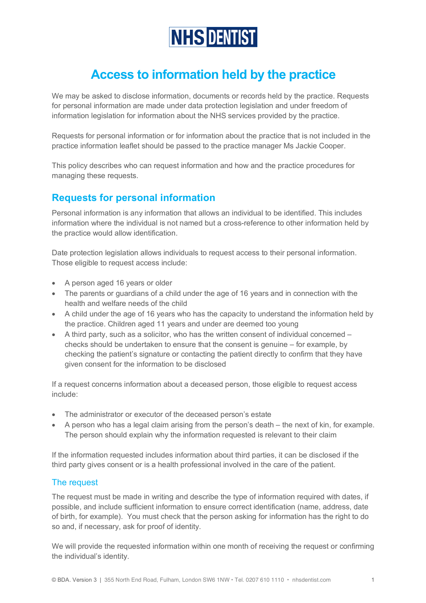# **NHS DENTIST**

# **Access to information held by the practice**

We may be asked to disclose information, documents or records held by the practice. Requests for personal information are made under data protection legislation and under freedom of information legislation for information about the NHS services provided by the practice.

Requests for personal information or for information about the practice that is not included in the practice information leaflet should be passed to the practice manager Ms Jackie Cooper.

This policy describes who can request information and how and the practice procedures for managing these requests.

# **Requests for personal information**

Personal information is any information that allows an individual to be identified. This includes information where the individual is not named but a cross-reference to other information held by the practice would allow identification.

Date protection legislation allows individuals to request access to their personal information. Those eligible to request access include:

- A person aged 16 years or older
- The parents or guardians of a child under the age of 16 years and in connection with the health and welfare needs of the child
- A child under the age of 16 years who has the capacity to understand the information held by the practice. Children aged 11 years and under are deemed too young
- A third party, such as a solicitor, who has the written consent of individual concerned checks should be undertaken to ensure that the consent is genuine – for example, by checking the patient's signature or contacting the patient directly to confirm that they have given consent for the information to be disclosed

If a request concerns information about a deceased person, those eligible to request access include:

- The administrator or executor of the deceased person's estate
- A person who has a legal claim arising from the person's death the next of kin, for example. The person should explain why the information requested is relevant to their claim

If the information requested includes information about third parties, it can be disclosed if the third party gives consent or is a health professional involved in the care of the patient.

#### The request

The request must be made in writing and describe the type of information required with dates, if possible, and include sufficient information to ensure correct identification (name, address, date of birth, for example). You must check that the person asking for information has the right to do so and, if necessary, ask for proof of identity.

We will provide the requested information within one month of receiving the request or confirming the individual's identity.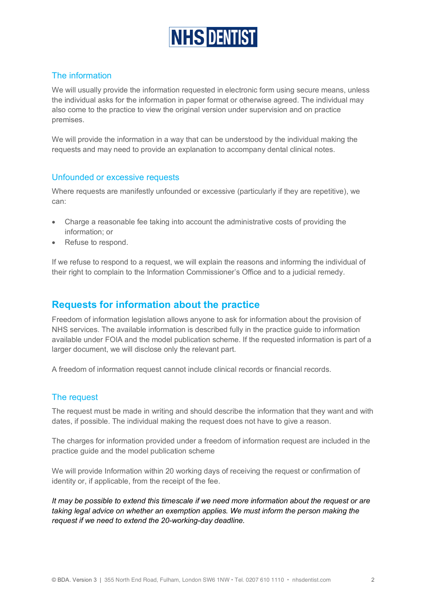

### The information

We will usually provide the information requested in electronic form using secure means, unless the individual asks for the information in paper format or otherwise agreed. The individual may also come to the practice to view the original version under supervision and on practice premises.

We will provide the information in a way that can be understood by the individual making the requests and may need to provide an explanation to accompany dental clinical notes.

#### Unfounded or excessive requests

Where requests are manifestly unfounded or excessive (particularly if they are repetitive), we can:

- Charge a reasonable fee taking into account the administrative costs of providing the information; or
- Refuse to respond.

If we refuse to respond to a request, we will explain the reasons and informing the individual of their right to complain to the Information Commissioner's Office and to a judicial remedy.

## **Requests for information about the practice**

Freedom of information legislation allows anyone to ask for information about the provision of NHS services. The available information is described fully in the practice guide to information available under FOIA and the model publication scheme. If the requested information is part of a larger document, we will disclose only the relevant part.

A freedom of information request cannot include clinical records or financial records.

#### The request

The request must be made in writing and should describe the information that they want and with dates, if possible. The individual making the request does not have to give a reason.

The charges for information provided under a freedom of information request are included in the practice guide and the model publication scheme

We will provide Information within 20 working days of receiving the request or confirmation of identity or, if applicable, from the receipt of the fee.

*It may be possible to extend this timescale if we need more information about the request or are taking legal advice on whether an exemption applies. We must inform the person making the request if we need to extend the 20-working-day deadline.*